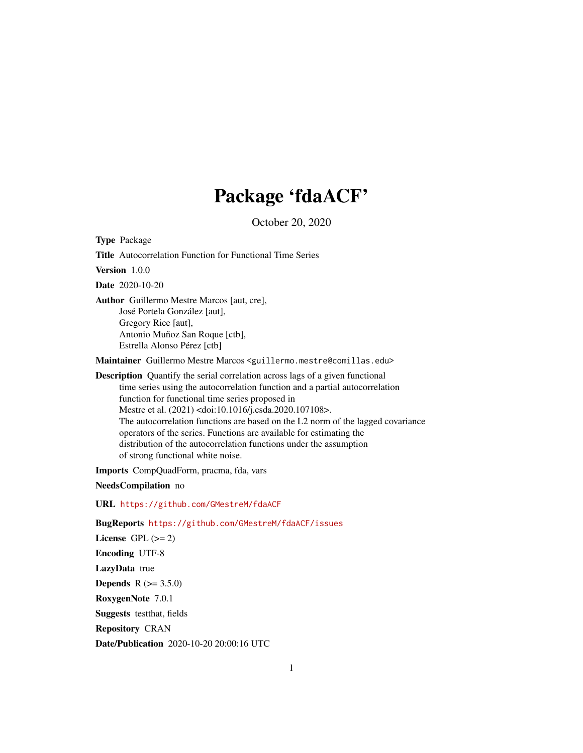## Package 'fdaACF'

October 20, 2020

Type Package Title Autocorrelation Function for Functional Time Series Version 1.0.0 Date 2020-10-20 Author Guillermo Mestre Marcos [aut, cre], José Portela González [aut], Gregory Rice [aut], Antonio Muñoz San Roque [ctb], Estrella Alonso Pérez [ctb] Maintainer Guillermo Mestre Marcos <guillermo.mestre@comillas.edu> Description Quantify the serial correlation across lags of a given functional time series using the autocorrelation function and a partial autocorrelation function for functional time series proposed in Mestre et al. (2021) <doi:10.1016/j.csda.2020.107108>. The autocorrelation functions are based on the L2 norm of the lagged covariance operators of the series. Functions are available for estimating the distribution of the autocorrelation functions under the assumption of strong functional white noise.

Imports CompQuadForm, pracma, fda, vars

NeedsCompilation no

URL <https://github.com/GMestreM/fdaACF>

BugReports <https://github.com/GMestreM/fdaACF/issues>

License GPL  $(>= 2)$ Encoding UTF-8 LazyData true **Depends** R  $(>= 3.5.0)$ RoxygenNote 7.0.1 Suggests testthat, fields Repository CRAN Date/Publication 2020-10-20 20:00:16 UTC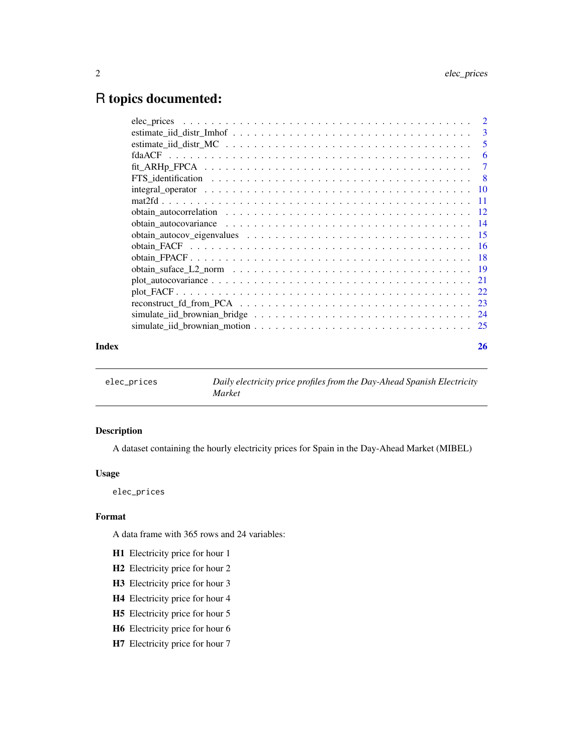### <span id="page-1-0"></span>R topics documented:

| Index | 26 |
|-------|----|

elec\_prices *Daily electricity price profiles from the Day-Ahead Spanish Electricity Market*

#### Description

A dataset containing the hourly electricity prices for Spain in the Day-Ahead Market (MIBEL)

#### Usage

elec\_prices

#### Format

A data frame with 365 rows and 24 variables:

- H1 Electricity price for hour 1
- H2 Electricity price for hour 2
- H3 Electricity price for hour 3
- H4 Electricity price for hour 4
- H5 Electricity price for hour 5
- H6 Electricity price for hour 6
- H7 Electricity price for hour 7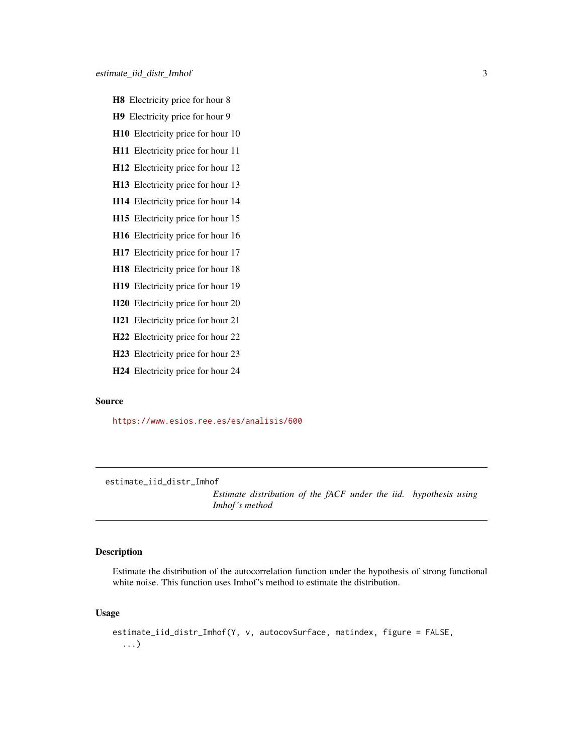- <span id="page-2-0"></span>H8 Electricity price for hour 8
- H9 Electricity price for hour 9
- H10 Electricity price for hour 10
- H11 Electricity price for hour 11
- H12 Electricity price for hour 12
- H13 Electricity price for hour 13
- H14 Electricity price for hour 14
- H15 Electricity price for hour 15
- H16 Electricity price for hour 16
- H17 Electricity price for hour 17
- H18 Electricity price for hour 18
- H19 Electricity price for hour 19
- H20 Electricity price for hour 20
- H21 Electricity price for hour 21
- H22 Electricity price for hour 22
- H23 Electricity price for hour 23
- H24 Electricity price for hour 24

#### Source

<https://www.esios.ree.es/es/analisis/600>

estimate\_iid\_distr\_Imhof

*Estimate distribution of the fACF under the iid. hypothesis using Imhof 's method*

#### Description

Estimate the distribution of the autocorrelation function under the hypothesis of strong functional white noise. This function uses Imhof's method to estimate the distribution.

#### Usage

```
estimate_iid_distr_Imhof(Y, v, autocovSurface, matindex, figure = FALSE,
  ...)
```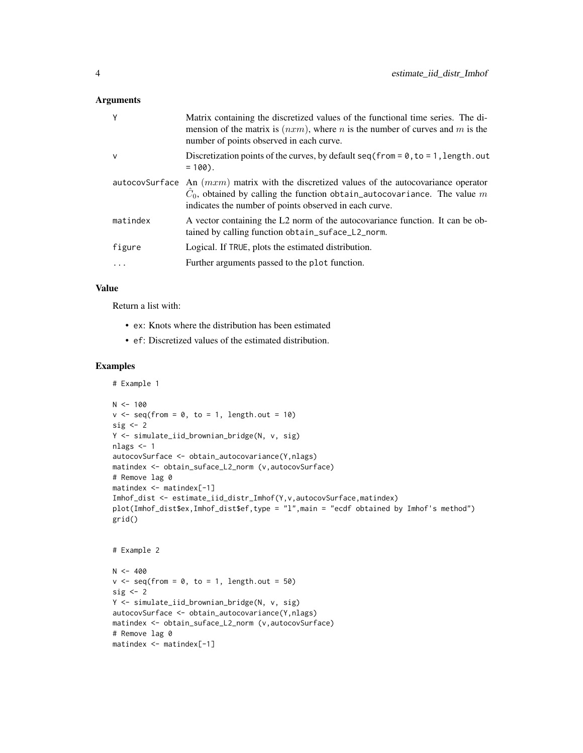#### Arguments

| Y            | Matrix containing the discretized values of the functional time series. The di-<br>mension of the matrix is $(nxm)$ , where <i>n</i> is the number of curves and <i>m</i> is the<br>number of points observed in each curve.               |
|--------------|--------------------------------------------------------------------------------------------------------------------------------------------------------------------------------------------------------------------------------------------|
| $\mathsf{v}$ | Discretization points of the curves, by default $seq(from = 0, to = 1, length.out$<br>$= 100$ .                                                                                                                                            |
|              | autocovSurface An $(mxm)$ matrix with the discretized values of the autocovariance operator<br>$\hat{C}_0$ , obtained by calling the function obtain_autocovariance. The value m<br>indicates the number of points observed in each curve. |
| matindex     | A vector containing the L2 norm of the autocovariance function. It can be ob-<br>tained by calling function obtain_suface_L2_norm.                                                                                                         |
| figure       | Logical. If TRUE, plots the estimated distribution.                                                                                                                                                                                        |
|              | Further arguments passed to the plot function.                                                                                                                                                                                             |
|              |                                                                                                                                                                                                                                            |

#### Value

Return a list with:

- ex: Knots where the distribution has been estimated
- ef: Discretized values of the estimated distribution.

```
# Example 1
N < - 100v \leq - seq(from = 0, to = 1, length.out = 10)
sig \leftarrow 2Y <- simulate_iid_brownian_bridge(N, v, sig)
nlags <- 1
autocovSurface <- obtain_autocovariance(Y,nlags)
matindex <- obtain_suface_L2_norm (v,autocovSurface)
# Remove lag 0
matindex <- matindex[-1]
Imhof_dist <- estimate_iid_distr_Imhof(Y,v,autocovSurface,matindex)
plot(Imhof_dist$ex,Imhof_dist$ef,type = "l",main = "ecdf obtained by Imhof's method")
grid()
# Example 2
N < -400v \leq -\text{seq}(\text{from} = \emptyset, \text{to} = 1, \text{length.out} = 50)sig \leftarrow 2Y <- simulate_iid_brownian_bridge(N, v, sig)
autocovSurface <- obtain_autocovariance(Y,nlags)
matindex <- obtain_suface_L2_norm (v,autocovSurface)
# Remove lag 0
matindex <- matindex[-1]
```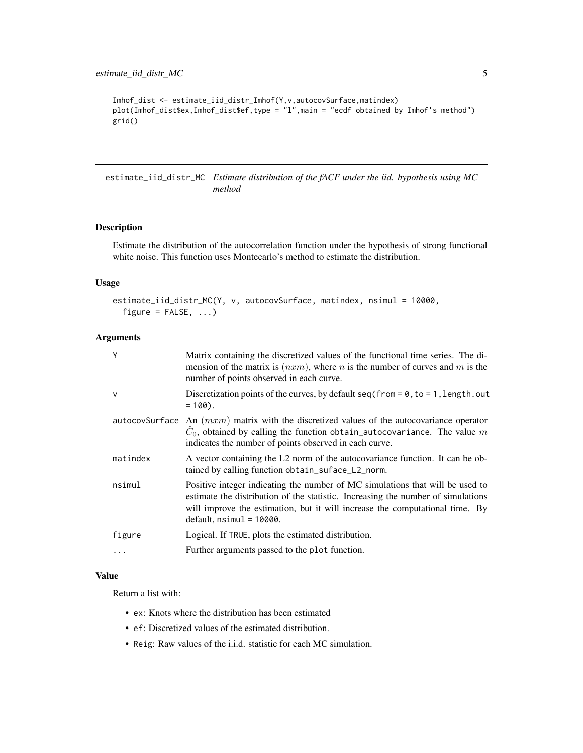```
Imhof_dist <- estimate_iid_distr_Imhof(Y,v,autocovSurface,matindex)
plot(Imhof_dist$ex,Imhof_dist$ef,type = "l",main = "ecdf obtained by Imhof's method")
grid()
```
estimate\_iid\_distr\_MC *Estimate distribution of the fACF under the iid. hypothesis using MC method*

#### Description

Estimate the distribution of the autocorrelation function under the hypothesis of strong functional white noise. This function uses Montecarlo's method to estimate the distribution.

#### Usage

```
estimate_iid_distr_MC(Y, v, autocovSurface, matindex, nsimul = 10000,
  figure = FALSE, ...)
```
#### Arguments

| Y            | Matrix containing the discretized values of the functional time series. The di-<br>mension of the matrix is $(nxm)$ , where <i>n</i> is the number of curves and <i>m</i> is the<br>number of points observed in each curve.                                                    |
|--------------|---------------------------------------------------------------------------------------------------------------------------------------------------------------------------------------------------------------------------------------------------------------------------------|
| $\mathsf{V}$ | Discretization points of the curves, by default $seq(from = 0, to = 1, length.out$<br>$= 100$ .                                                                                                                                                                                 |
|              | autocovSurface An $(mxm)$ matrix with the discretized values of the autocovariance operator<br>$C_0$ , obtained by calling the function obtain_autocovariance. The value m<br>indicates the number of points observed in each curve.                                            |
| matindex     | A vector containing the L2 norm of the autocovariance function. It can be ob-<br>tained by calling function obtain_suface_L2_norm.                                                                                                                                              |
| nsimul       | Positive integer indicating the number of MC simulations that will be used to<br>estimate the distribution of the statistic. Increasing the number of simulations<br>will improve the estimation, but it will increase the computational time. By<br>$default, nsimul = 10000.$ |
| figure       | Logical. If TRUE, plots the estimated distribution.                                                                                                                                                                                                                             |
| .            | Further arguments passed to the plot function.                                                                                                                                                                                                                                  |

#### Value

Return a list with:

- ex: Knots where the distribution has been estimated
- ef: Discretized values of the estimated distribution.
- Reig: Raw values of the i.i.d. statistic for each MC simulation.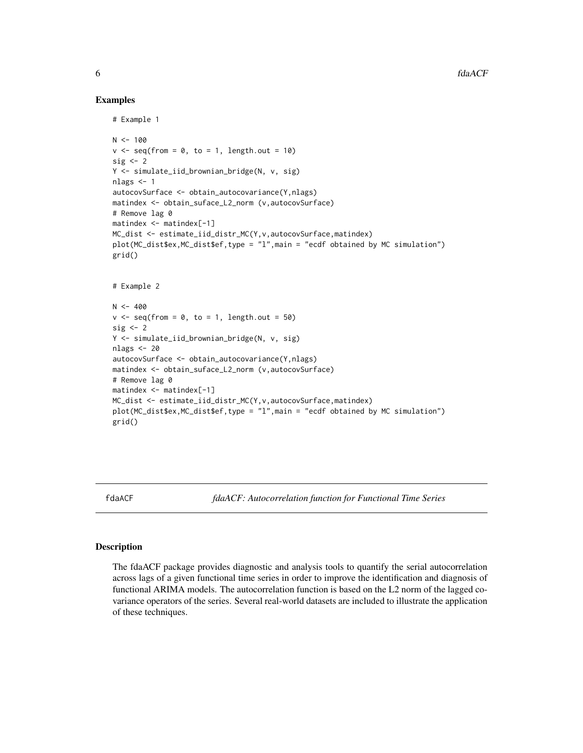#### Examples

```
# Example 1
N < - 100v \leq -\text{seq}(\text{from} = \emptyset, \text{to} = 1, \text{length.out} = 10)sig \leftarrow 2Y <- simulate_iid_brownian_bridge(N, v, sig)
nlags <- 1
autocovSurface <- obtain_autocovariance(Y,nlags)
matindex <- obtain_suface_L2_norm (v,autocovSurface)
# Remove lag 0
matindex <- matindex[-1]
MC_dist <- estimate_iid_distr_MC(Y,v,autocovSurface,matindex)
plot(MC_dist$ex,MC_dist$ef,type = "l",main = "ecdf obtained by MC simulation")
grid()
# Example 2
N < -400v \leq - seq(from = 0, to = 1, length.out = 50)
sig \leftarrow 2Y <- simulate_iid_brownian_bridge(N, v, sig)
nlags <- 20
autocovSurface <- obtain_autocovariance(Y,nlags)
matindex <- obtain_suface_L2_norm (v,autocovSurface)
# Remove lag 0
matindex <- matindex[-1]
MC_dist <- estimate_iid_distr_MC(Y,v,autocovSurface,matindex)
plot(MC_dist$ex,MC_dist$ef,type = "l",main = "ecdf obtained by MC simulation")
grid()
```
fdaACF *fdaACF: Autocorrelation function for Functional Time Series*

#### Description

The fdaACF package provides diagnostic and analysis tools to quantify the serial autocorrelation across lags of a given functional time series in order to improve the identification and diagnosis of functional ARIMA models. The autocorrelation function is based on the L2 norm of the lagged covariance operators of the series. Several real-world datasets are included to illustrate the application of these techniques.

<span id="page-5-0"></span>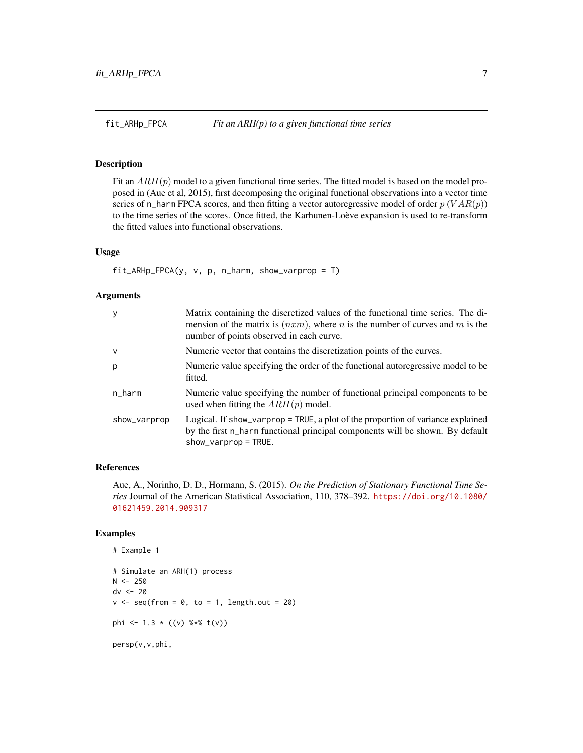<span id="page-6-0"></span>

#### Description

Fit an  $ARH(p)$  model to a given functional time series. The fitted model is based on the model proposed in (Aue et al, 2015), first decomposing the original functional observations into a vector time series of n\_harm FPCA scores, and then fitting a vector autoregressive model of order  $p (VAR(p))$ to the time series of the scores. Once fitted, the Karhunen-Loève expansion is used to re-transform the fitted values into functional observations.

#### Usage

 $fit\_ARHp\_FPCA(y, v, p, n_harm, show\_varprop = T)$ 

#### Arguments

| У            | Matrix containing the discretized values of the functional time series. The di-<br>mension of the matrix is $(nxm)$ , where <i>n</i> is the number of curves and <i>m</i> is the<br>number of points observed in each curve. |
|--------------|------------------------------------------------------------------------------------------------------------------------------------------------------------------------------------------------------------------------------|
| $\mathsf{v}$ | Numeric vector that contains the discretization points of the curves.                                                                                                                                                        |
| p            | Numeric value specifying the order of the functional autoregressive model to be<br>fitted.                                                                                                                                   |
| n_harm       | Numeric value specifying the number of functional principal components to be<br>used when fitting the $ARH(p)$ model.                                                                                                        |
| show_varprop | Logical. If show_varprop = TRUE, a plot of the proportion of variance explained<br>by the first n_harm functional principal components will be shown. By default<br>$show\_varprop = TRUE$ .                                 |

#### References

Aue, A., Norinho, D. D., Hormann, S. (2015). *On the Prediction of Stationary Functional Time Series* Journal of the American Statistical Association, 110, 378–392. [https://doi.org/10.1080/](https://doi.org/10.1080/01621459.2014.909317) [01621459.2014.909317](https://doi.org/10.1080/01621459.2014.909317)

```
# Example 1
# Simulate an ARH(1) process
N < -250dv <- 20
v \leq -\text{seq}(\text{from} = 0, \text{to} = 1, \text{length.out} = 20)phi <- 1.3 * ((v) %*% t(v))
persp(v,v,phi,
```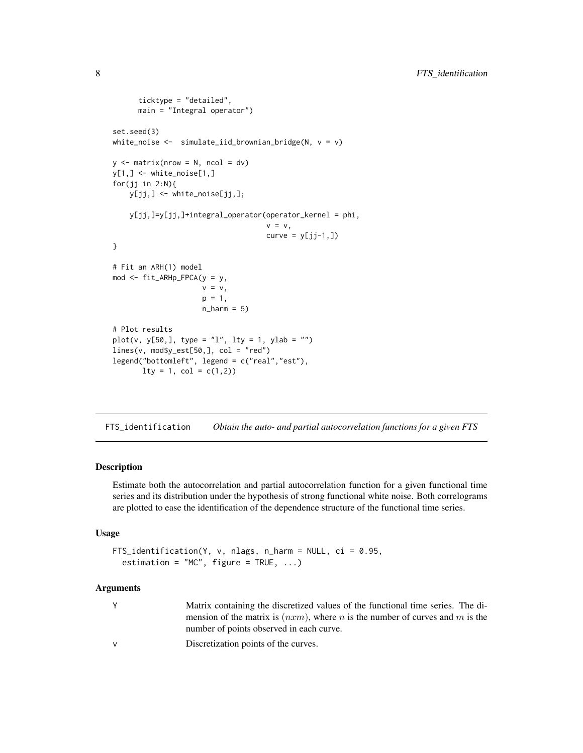```
ticktype = "detailed",
      main = "Integral operator")
set.seed(3)
white_noise \leq simulate_iid_brownian_bridge(N, v = v)
y \le - matrix(nrow = N, ncol = dv)
y[1,] \leftarrow white_noise[1,]
for(jj in 2:N){
   y[jj,] <- white_noise[jj,];
   y[jj,]=y[jj,]+integral_operator(operator_kernel = phi,
                                    v = v,
                                    curve = y[jj-1,]}
# Fit an ARH(1) model
mod <- fit_ARHp_FPCA(y = y,
                     v = v,p = 1,
                     n_{harm} = 5# Plot results
plot(v, y[50,], type = "l", lty = 1, ylab = "")lines(v, mod$y_est[50,], col = "red")
legend("bottomleft", legend = c("real","est"),
       lty = 1, col = c(1,2)
```
FTS\_identification *Obtain the auto- and partial autocorrelation functions for a given FTS*

#### Description

Estimate both the autocorrelation and partial autocorrelation function for a given functional time series and its distribution under the hypothesis of strong functional white noise. Both correlograms are plotted to ease the identification of the dependence structure of the functional time series.

#### Usage

```
FTS_identification(Y, v, nlags, n_harm = NULL, ci = 0.95,
 estimation = "MC", figure = TRUE, ...)
```
#### Arguments

| Matrix containing the discretized values of the functional time series. The di- |
|---------------------------------------------------------------------------------|
| mension of the matrix is $(nxm)$ , where n is the number of curves and m is the |
| number of points observed in each curve.                                        |

v Discretization points of the curves.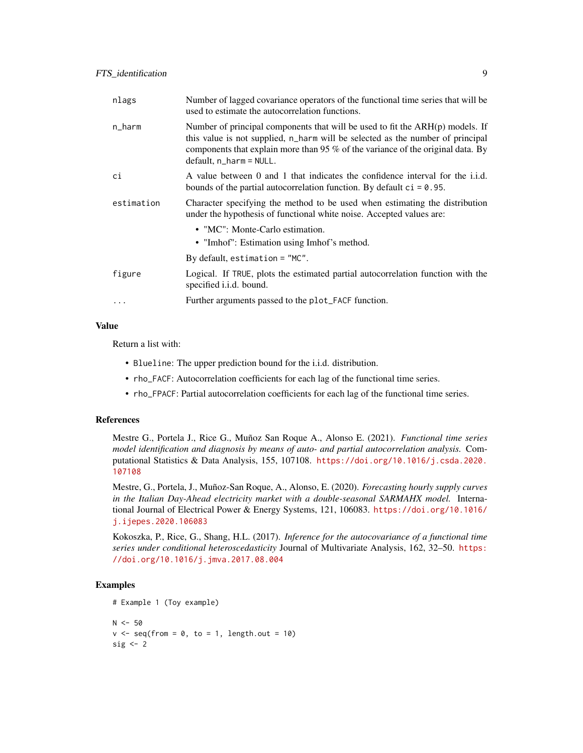| nlags      | Number of lagged covariance operators of the functional time series that will be<br>used to estimate the autocorrelation functions.                                                                                                                                               |
|------------|-----------------------------------------------------------------------------------------------------------------------------------------------------------------------------------------------------------------------------------------------------------------------------------|
| n_harm     | Number of principal components that will be used to fit the $ARH(p)$ models. If<br>this value is not supplied, n_harm will be selected as the number of principal<br>components that explain more than 95 % of the variance of the original data. By<br>$default, n_harm = NULL.$ |
| сi         | A value between 0 and 1 that indicates the confidence interval for the i.i.d.<br>bounds of the partial autocorrelation function. By default $ci = 0.95$ .                                                                                                                         |
| estimation | Character specifying the method to be used when estimating the distribution<br>under the hypothesis of functional white noise. Accepted values are:                                                                                                                               |
|            | • "MC": Monte-Carlo estimation.                                                                                                                                                                                                                                                   |
|            | • "Imhof": Estimation using Imhof's method.                                                                                                                                                                                                                                       |
|            | By default, estimation $=$ "MC".                                                                                                                                                                                                                                                  |
| figure     | Logical. If TRUE, plots the estimated partial autocorrelation function with the<br>specified <i>i.i.d.</i> bound.                                                                                                                                                                 |
| $\cdots$   | Further arguments passed to the plot_FACF function.                                                                                                                                                                                                                               |

#### Value

Return a list with:

- Blueline: The upper prediction bound for the i.i.d. distribution.
- rho\_FACF: Autocorrelation coefficients for each lag of the functional time series.
- rho\_FPACF: Partial autocorrelation coefficients for each lag of the functional time series.

#### References

Mestre G., Portela J., Rice G., Muñoz San Roque A., Alonso E. (2021). *Functional time series model identification and diagnosis by means of auto- and partial autocorrelation analysis.* Computational Statistics & Data Analysis, 155, 107108. [https://doi.org/10.1016/j.csda.2020.](https://doi.org/10.1016/j.csda.2020.107108) [107108](https://doi.org/10.1016/j.csda.2020.107108)

Mestre, G., Portela, J., Muñoz-San Roque, A., Alonso, E. (2020). *Forecasting hourly supply curves in the Italian Day-Ahead electricity market with a double-seasonal SARMAHX model.* International Journal of Electrical Power & Energy Systems, 121, 106083. [https://doi.org/10.1016/](https://doi.org/10.1016/j.ijepes.2020.106083) [j.ijepes.2020.106083](https://doi.org/10.1016/j.ijepes.2020.106083)

Kokoszka, P., Rice, G., Shang, H.L. (2017). *Inference for the autocovariance of a functional time series under conditional heteroscedasticity* Journal of Multivariate Analysis, 162, 32–50. [https:](https://doi.org/10.1016/j.jmva.2017.08.004) [//doi.org/10.1016/j.jmva.2017.08.004](https://doi.org/10.1016/j.jmva.2017.08.004)

```
# Example 1 (Toy example)
N < -50v \leq -\text{seq}(\text{from} = \emptyset, \text{to} = 1, \text{length.out} = 10)sig \leftarrow 2
```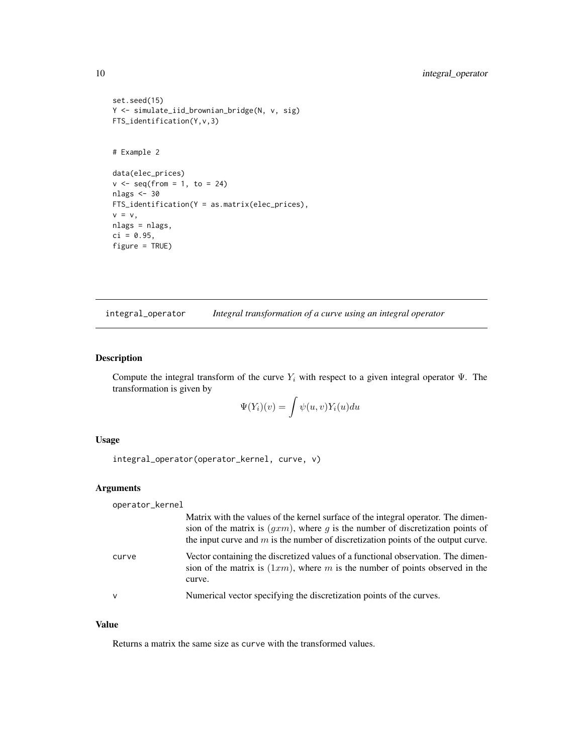```
set.seed(15)
Y <- simulate_iid_brownian_bridge(N, v, sig)
FTS_identification(Y,v,3)
# Example 2
data(elec_prices)
v \leq -\text{seq}(\text{from} = 1, \text{to} = 24)nlags <- 30
FTS_identification(Y = as.matrix(elec_prices),
v = v,nlags = nlags,
ci = 0.95,figure = TRUE)
```
integral\_operator *Integral transformation of a curve using an integral operator*

#### Description

Compute the integral transform of the curve  $Y_i$  with respect to a given integral operator  $\Psi$ . The transformation is given by

$$
\Psi(Y_i)(v) = \int \psi(u,v) Y_i(u) du
$$

#### Usage

integral\_operator(operator\_kernel, curve, v)

#### Arguments

operator\_kernel

|              | Matrix with the values of the kernel surface of the integral operator. The dimen-<br>sion of the matrix is $(gxm)$ , where g is the number of discretization points of<br>the input curve and $m$ is the number of discretization points of the output curve. |
|--------------|---------------------------------------------------------------------------------------------------------------------------------------------------------------------------------------------------------------------------------------------------------------|
| curve        | Vector containing the discretized values of a functional observation. The dimen-<br>sion of the matrix is $(1xm)$ , where m is the number of points observed in the<br>curve.                                                                                 |
| $\mathsf{v}$ | Numerical vector specifying the discretization points of the curves.                                                                                                                                                                                          |

#### Value

Returns a matrix the same size as curve with the transformed values.

<span id="page-9-0"></span>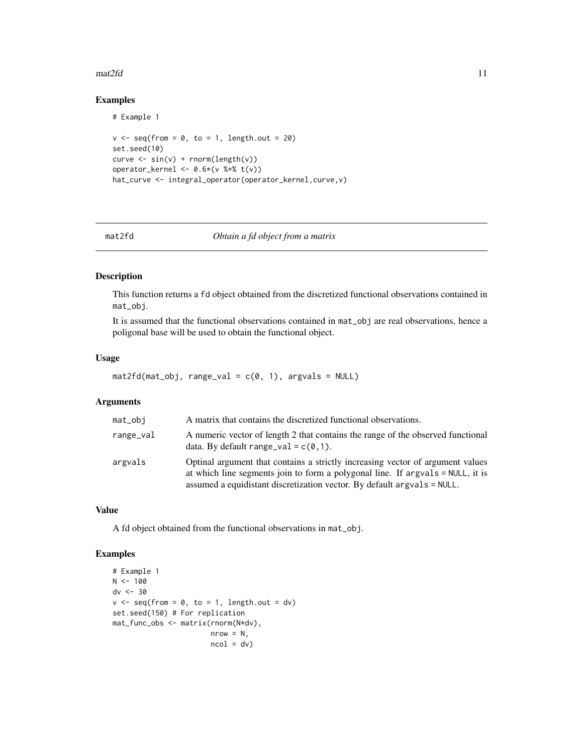#### <span id="page-10-0"></span> $\text{mat2fd}$  11

#### Examples

```
# Example 1
v \leq -\text{seq}(\text{from} = \emptyset, \text{to} = 1, \text{length.out} = 20)set.seed(10)
curve < - sin(v) + rnorm(length(v))operator_kernel <- 0.6*(v %* % t(v))hat_curve <- integral_operator(operator_kernel,curve,v)
```
#### mat2fd *Obtain a fd object from a matrix*

#### Description

This function returns a fd object obtained from the discretized functional observations contained in mat\_obj.

It is assumed that the functional observations contained in mat\_obj are real observations, hence a poligonal base will be used to obtain the functional object.

#### Usage

```
mat2fd(mat_obj, range_val = c(0, 1), argvals = NULL)
```
#### Arguments

| mat_obi   | A matrix that contains the discretized functional observations.                                                                                                                                                                             |
|-----------|---------------------------------------------------------------------------------------------------------------------------------------------------------------------------------------------------------------------------------------------|
| range_val | A numeric vector of length 2 that contains the range of the observed functional<br>data. By default range_val = $c(0,1)$ .                                                                                                                  |
| argvals   | Optinal argument that contains a strictly increasing vector of argument values<br>at which line segments join to form a polygonal line. If argvals = NULL, it is<br>assumed a equidistant discretization vector. By default argvals = NULL. |

#### Value

A fd object obtained from the functional observations in mat\_obj.

```
# Example 1
N < - 100dv <- 30
v \leq -\text{seq}(\text{from} = 0, \text{to} = 1, \text{length.out} = dv)set.seed(150) # For replication
mat_func_obs <- matrix(rnorm(N*dv),
                           nrow = N,
                           ncol = dv
```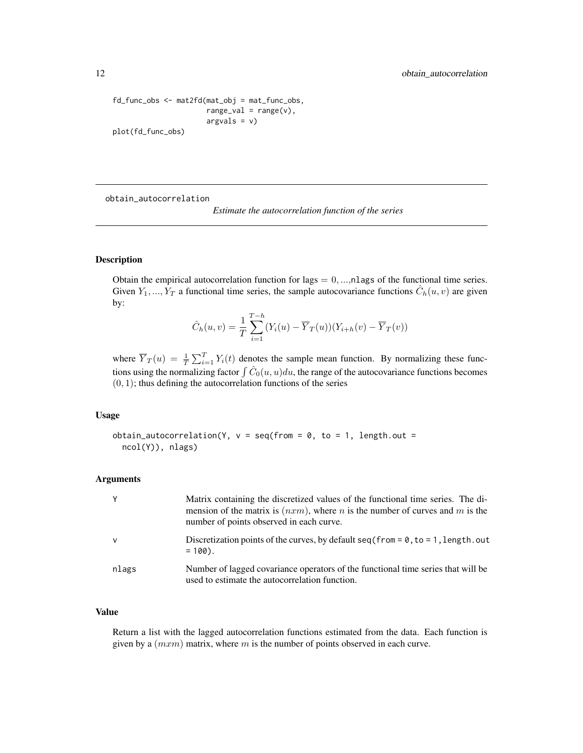```
fd_func_obs <- mat2fd(mat_obj = mat_func_obs,
                      range\_val = range(v),
                      argvals = v)
plot(fd_func_obs)
```
obtain\_autocorrelation

```
Estimate the autocorrelation function of the series
```
#### Description

Obtain the empirical autocorrelation function for lags  $= 0, \ldots, n$  has of the functional time series. Given  $Y_1, ..., Y_T$  a functional time series, the sample autocovariance functions  $\hat{C}_h(u, v)$  are given by:

$$
\hat{C}_h(u,v) = \frac{1}{T} \sum_{i=1}^{T-h} (Y_i(u) - \overline{Y}_T(u))(Y_{i+h}(v) - \overline{Y}_T(v))
$$

where  $\overline{Y}_T(u) = \frac{1}{T} \sum_{i=1}^T Y_i(t)$  denotes the sample mean function. By normalizing these functions using the normalizing factor  $\int \hat{C}_0(u, u)du$ , the range of the autocovariance functions becomes  $(0, 1)$ ; thus defining the autocorrelation functions of the series

#### Usage

```
obtain_autocorrelation(Y, v = \text{seq}(\text{from} = 0, \text{to} = 1, \text{length.out} =ncol(Y)), nlags)
```
#### Arguments

| Y            | Matrix containing the discretized values of the functional time series. The di-<br>mension of the matrix is $(nxm)$ , where <i>n</i> is the number of curves and <i>m</i> is the<br>number of points observed in each curve. |
|--------------|------------------------------------------------------------------------------------------------------------------------------------------------------------------------------------------------------------------------------|
| $\mathsf{v}$ | Discretization points of the curves, by default seq (from = $\theta$ , to = 1, length. out<br>$= 100$ .                                                                                                                      |
| nlags        | Number of lagged covariance operators of the functional time series that will be<br>used to estimate the autocorrelation function.                                                                                           |

#### Value

Return a list with the lagged autocorrelation functions estimated from the data. Each function is given by a  $(mxm)$  matrix, where m is the number of points observed in each curve.

<span id="page-11-0"></span>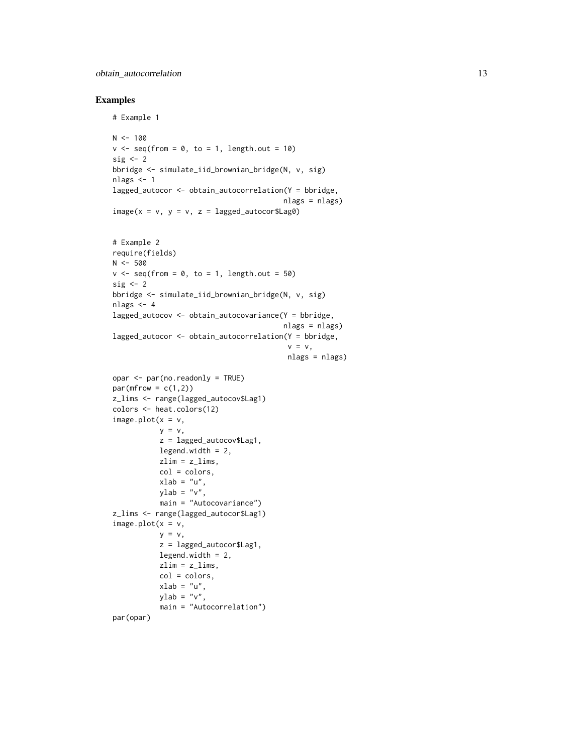#### obtain\_autocorrelation 13

```
# Example 1
N < - 100v \leq -\text{seq}(\text{from} = \emptyset, \text{to} = 1, \text{length.out} = 10)sig \leftarrow 2bbridge <- simulate_iid_brownian_bridge(N, v, sig)
nlags <-1lagged_autocor <- obtain_autocorrelation(Y = bbridge,
                                            nlags = nlags)
image(x = v, y = v, z = lagged_autocor$Lag0)# Example 2
require(fields)
N < -500v \leq -\text{seq}(\text{from} = 0, \text{to} = 1, \text{length.out} = 50)sig \leftarrow 2bbridge <- simulate_iid_brownian_bridge(N, v, sig)
nlags <-4lagged_autocov <- obtain_autocovariance(Y = bbridge,
                                            nlags = nlags)
lagged_autocor <- obtain_autocorrelation(Y = bbridge,
                                             v = v,
                                             nlags = nlags)
opar <- par(no.readonly = TRUE)
par(mfrow = c(1,2))z_lims <- range(lagged_autocov$Lag1)
colors <- heat.colors(12)
image.plot(x = v,y = v,
           z = lagged_autocov$Lag1,
           legend.width = 2,
            zlim = z_{\text{lines}},
            col = colors,
           xlab = "u",
           ylab = "v",
           main = "Autocovariance")
z_lims <- range(lagged_autocor$Lag1)
image.plot(x = v,y = v,
            z = lagged_autocor$Lag1,
           legend.width = 2,
           zlim = z_lims,
           col = colors,
            xlab = "u",
            ylab = "v",
            main = "Autocorrelation")
par(opar)
```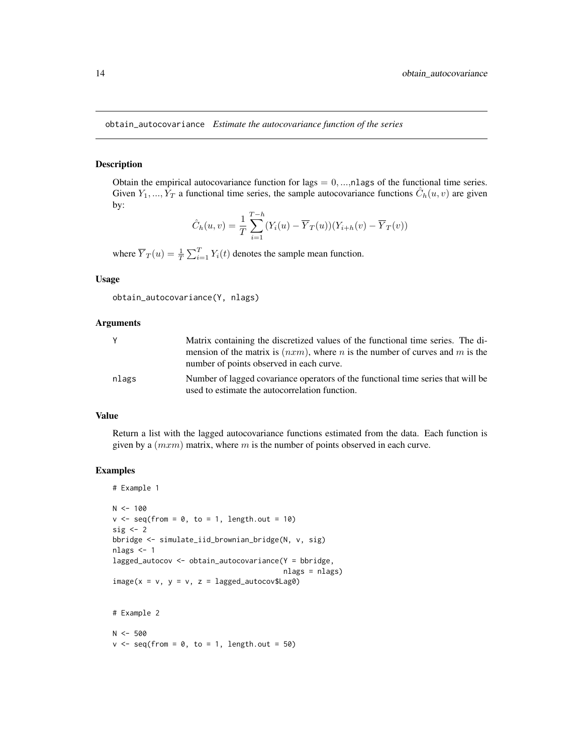<span id="page-13-0"></span>obtain\_autocovariance *Estimate the autocovariance function of the series*

#### Description

Obtain the empirical autocovariance function for lags  $= 0, \dots, n$  has of the functional time series. Given  $Y_1, ..., Y_T$  a functional time series, the sample autocovariance functions  $\hat{C}_h(u, v)$  are given by:

$$
\hat{C}_h(u, v) = \frac{1}{T} \sum_{i=1}^{T-h} (Y_i(u) - \overline{Y}_T(u))(Y_{i+h}(v) - \overline{Y}_T(v))
$$

where  $\overline{Y}_T(u) = \frac{1}{T} \sum_{i=1}^T Y_i(t)$  denotes the sample mean function.

#### Usage

obtain\_autocovariance(Y, nlags)

#### Arguments

|       | Matrix containing the discretized values of the functional time series. The di-                                                           |
|-------|-------------------------------------------------------------------------------------------------------------------------------------------|
|       | mension of the matrix is $(nxm)$ , where <i>n</i> is the number of curves and <i>m</i> is the<br>number of points observed in each curve. |
| nlags | Number of lagged covariance operators of the functional time series that will be<br>used to estimate the autocorrelation function.        |

#### Value

Return a list with the lagged autocovariance functions estimated from the data. Each function is given by a  $(mxm)$  matrix, where m is the number of points observed in each curve.

```
# Example 1
N < - 100v \leq -\text{seq}(\text{from} = \emptyset, \text{to} = 1, \text{length.out} = 10)sig \leftarrow 2bbridge <- simulate_iid_brownian_bridge(N, v, sig)
nlags <- 1
lagged_autocov <- obtain_autocovariance(Y = bbridge,
                                                   nlags = nlags)
image(x = v, y = v, z = lagged_autocov$Lag0)# Example 2
N < -500v \leq -\text{seq}(\text{from} = \emptyset, \text{to} = 1, \text{length.out} = 50)
```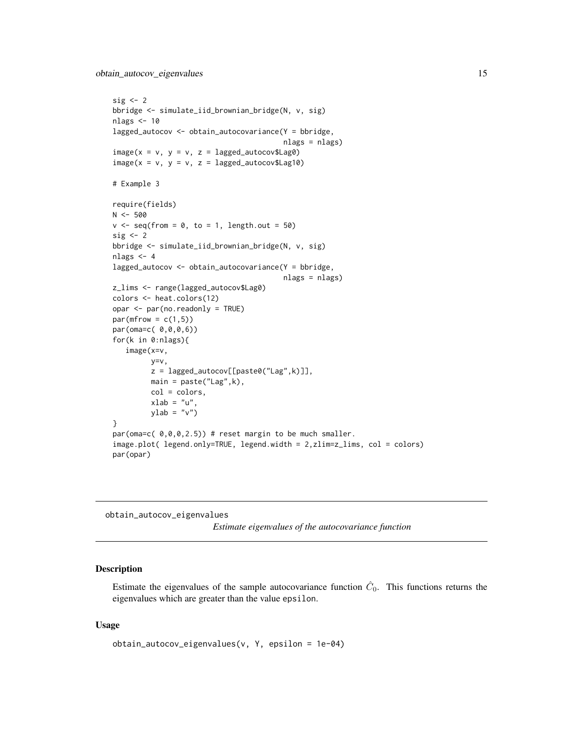```
sig \leftarrow 2bbridge <- simulate_iid_brownian_bridge(N, v, sig)
nlags <- 10
lagged_autocov <- obtain_autocovariance(Y = bbridge,
                                         nlags = nlags)
image(x = v, y = v, z = lagged_autocov$Lag0)image(x = v, y = v, z = lagged_autocov$Lag10)# Example 3
require(fields)
N < -500v \leq - seq(from = 0, to = 1, length.out = 50)
sig \leftarrow 2bbridge <- simulate_iid_brownian_bridge(N, v, sig)
nlags <- 4
lagged_autocov <- obtain_autocovariance(Y = bbridge,
                                         nlags = nlags)
z_lims <- range(lagged_autocov$Lag0)
colors <- heat.colors(12)
opar <- par(no.readonly = TRUE)
par(mfrow = c(1,5))par(oma=c( 0,0,0,6))
for(k in 0:nlags){
   image(x=v,
         y=v,
         z = lagged_autocov[[paste0("Lag",k)]],
         main = paste("Lag",k),
         col = colors,
         xlab = "u",
         ylab = "v")}
par(oma=c( 0,0,0,2.5)) # reset margin to be much smaller.
image.plot( legend.only=TRUE, legend.width = 2,zlim=z_lims, col = colors)
par(opar)
```
obtain\_autocov\_eigenvalues

*Estimate eigenvalues of the autocovariance function*

#### Description

Estimate the eigenvalues of the sample autocovariance function  $\hat{C}_0$ . This functions returns the eigenvalues which are greater than the value epsilon.

#### Usage

```
obtain_autocov_eigenvalues(v, Y, epsilon = 1e-04)
```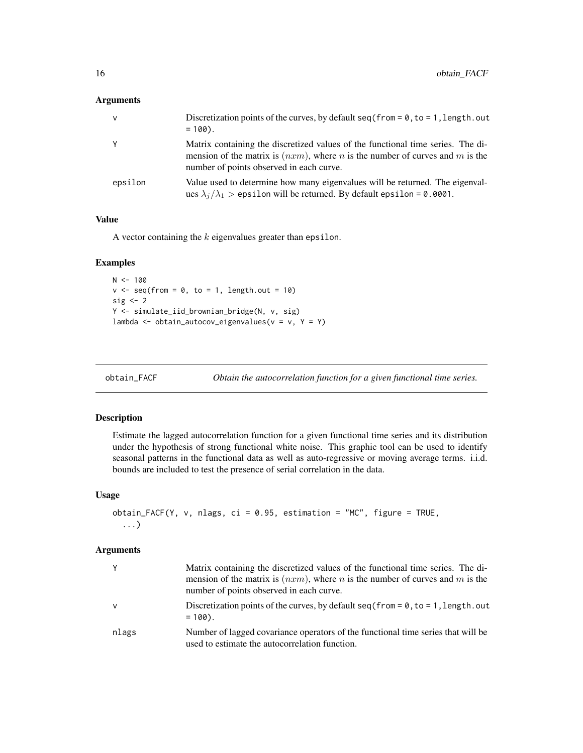#### <span id="page-15-0"></span>Arguments

| v       | Discretization points of the curves, by default $seq(from = 0, to = 1, length.out$<br>$= 100$ .                                                                                                                              |
|---------|------------------------------------------------------------------------------------------------------------------------------------------------------------------------------------------------------------------------------|
|         | Matrix containing the discretized values of the functional time series. The di-<br>mension of the matrix is $(nxm)$ , where <i>n</i> is the number of curves and <i>m</i> is the<br>number of points observed in each curve. |
| epsilon | Value used to determine how many eigenvalues will be returned. The eigenval-<br>ues $\lambda_i/\lambda_1$ > epsilon will be returned. By default epsilon = 0.0001.                                                           |

#### Value

A vector containing the  $k$  eigenvalues greater than epsilon.

#### Examples

```
N < - 100v \leq -\text{seq}(\text{from} = \emptyset, \text{to} = 1, \text{length.out} = 10)sig \leftarrow 2Y <- simulate_iid_brownian_bridge(N, v, sig)
lambda <- obtain_autocov_eigenvalues(v = v, Y = Y)
```

| obtain FACF | Obtain the autocorrelation function for a given functional time series. |  |  |
|-------------|-------------------------------------------------------------------------|--|--|
|-------------|-------------------------------------------------------------------------|--|--|

#### Description

Estimate the lagged autocorrelation function for a given functional time series and its distribution under the hypothesis of strong functional white noise. This graphic tool can be used to identify seasonal patterns in the functional data as well as auto-regressive or moving average terms. i.i.d. bounds are included to test the presence of serial correlation in the data.

#### Usage

```
obtain_FACF(Y, v, nlags, ci = 0.95, estimation = "MC", figure = TRUE,
  ...)
```
#### Arguments

| Υ            | Matrix containing the discretized values of the functional time series. The di-<br>mension of the matrix is $(nxm)$ , where <i>n</i> is the number of curves and <i>m</i> is the<br>number of points observed in each curve. |
|--------------|------------------------------------------------------------------------------------------------------------------------------------------------------------------------------------------------------------------------------|
| $\mathsf{V}$ | Discretization points of the curves, by default seq (from = $\theta$ , to = 1, length. out<br>$= 100$ .                                                                                                                      |
| nlags        | Number of lagged covariance operators of the functional time series that will be<br>used to estimate the autocorrelation function.                                                                                           |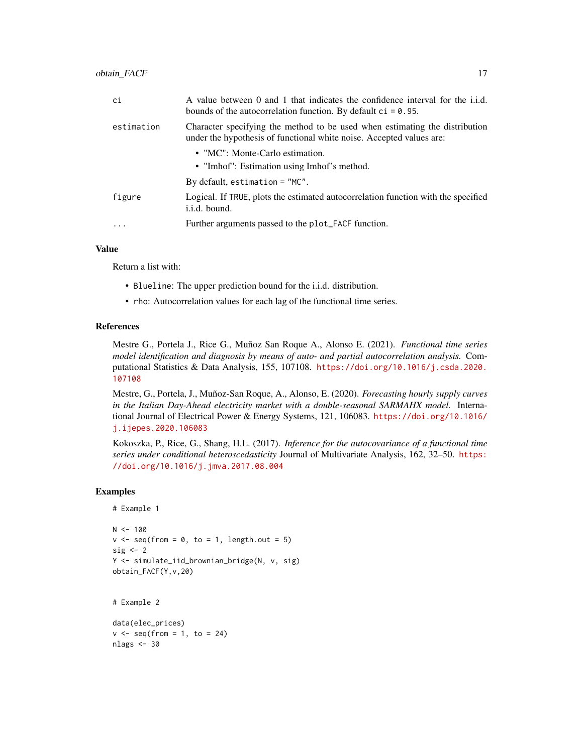| ci         | A value between 0 and 1 that indicates the confidence interval for the i.i.d.<br>bounds of the autocorrelation function. By default $ci = 0.95$ .   |
|------------|-----------------------------------------------------------------------------------------------------------------------------------------------------|
| estimation | Character specifying the method to be used when estimating the distribution<br>under the hypothesis of functional white noise. Accepted values are: |
|            | • "MC": Monte-Carlo estimation.                                                                                                                     |
|            | • "Imhof": Estimation using Imhof's method.                                                                                                         |
|            | By default, estimation $=$ "MC".                                                                                                                    |
| figure     | Logical. If TRUE, plots the estimated autocorrelation function with the specified<br>i.i.d. bound.                                                  |
| .          | Further arguments passed to the plot_FACF function.                                                                                                 |

#### Value

Return a list with:

- Blueline: The upper prediction bound for the i.i.d. distribution.
- rho: Autocorrelation values for each lag of the functional time series.

#### References

Mestre G., Portela J., Rice G., Muñoz San Roque A., Alonso E. (2021). *Functional time series model identification and diagnosis by means of auto- and partial autocorrelation analysis.* Computational Statistics & Data Analysis, 155, 107108. [https://doi.org/10.1016/j.csda.2020.](https://doi.org/10.1016/j.csda.2020.107108) [107108](https://doi.org/10.1016/j.csda.2020.107108)

Mestre, G., Portela, J., Muñoz-San Roque, A., Alonso, E. (2020). *Forecasting hourly supply curves in the Italian Day-Ahead electricity market with a double-seasonal SARMAHX model.* International Journal of Electrical Power & Energy Systems, 121, 106083. [https://doi.org/10.1016/](https://doi.org/10.1016/j.ijepes.2020.106083) [j.ijepes.2020.106083](https://doi.org/10.1016/j.ijepes.2020.106083)

Kokoszka, P., Rice, G., Shang, H.L. (2017). *Inference for the autocovariance of a functional time series under conditional heteroscedasticity* Journal of Multivariate Analysis, 162, 32–50. [https:](https://doi.org/10.1016/j.jmva.2017.08.004) [//doi.org/10.1016/j.jmva.2017.08.004](https://doi.org/10.1016/j.jmva.2017.08.004)

```
# Example 1
N < - 100v \leq -\text{seq}(\text{from} = \emptyset, \text{to} = 1, \text{length.out} = 5)sig \leftarrow 2Y <- simulate_iid_brownian_bridge(N, v, sig)
obtain_FACF(Y,v,20)
```

```
# Example 2
```

```
data(elec_prices)
v \leq -\text{seq}(\text{from} = 1, \text{to} = 24)nlags <- 30
```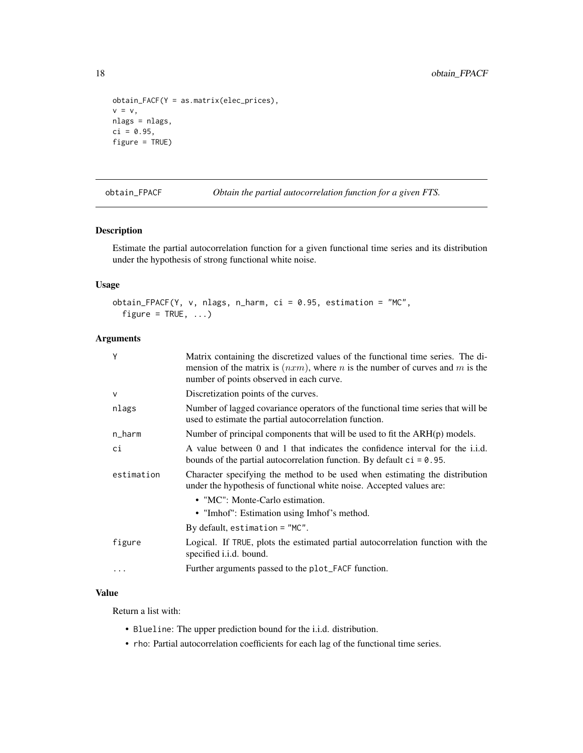```
obtain_FACF(Y = as.matrix(elec_prices),
v = v,
nlags = nlags,
ci = 0.95,figure = TRUE)
```
obtain\_FPACF *Obtain the partial autocorrelation function for a given FTS.*

#### Description

Estimate the partial autocorrelation function for a given functional time series and its distribution under the hypothesis of strong functional white noise.

#### Usage

```
obtain_FPACF(Y, v, nlags, n_harm, ci = 0.95, estimation = "MC",
  figure = TRUE, \ldots)
```
#### Arguments

| Y          | Matrix containing the discretized values of the functional time series. The di-<br>mension of the matrix is $(nxm)$ , where <i>n</i> is the number of curves and <i>m</i> is the<br>number of points observed in each curve. |
|------------|------------------------------------------------------------------------------------------------------------------------------------------------------------------------------------------------------------------------------|
| $\vee$     | Discretization points of the curves.                                                                                                                                                                                         |
| nlags      | Number of lagged covariance operators of the functional time series that will be<br>used to estimate the partial autocorrelation function.                                                                                   |
| n_harm     | Number of principal components that will be used to fit the ARH(p) models.                                                                                                                                                   |
| ci         | A value between 0 and 1 that indicates the confidence interval for the i.i.d.<br>bounds of the partial autocorrelation function. By default $ci = 0.95$ .                                                                    |
| estimation | Character specifying the method to be used when estimating the distribution<br>under the hypothesis of functional white noise. Accepted values are:                                                                          |
|            | • "MC": Monte-Carlo estimation.                                                                                                                                                                                              |
|            | • "Imhof": Estimation using Imhof's method.                                                                                                                                                                                  |
|            | By default, estimation $=$ "MC".                                                                                                                                                                                             |
| figure     | Logical. If TRUE, plots the estimated partial autocorrelation function with the<br>specified <i>i.i.d.</i> bound.                                                                                                            |
|            |                                                                                                                                                                                                                              |

#### Value

Return a list with:

- Blueline: The upper prediction bound for the i.i.d. distribution.
- rho: Partial autocorrelation coefficients for each lag of the functional time series.

<span id="page-17-0"></span>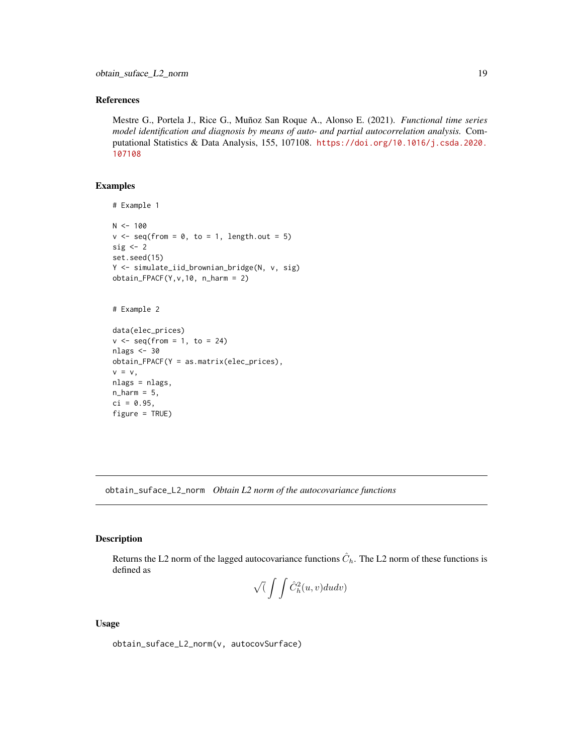#### <span id="page-18-0"></span>References

Mestre G., Portela J., Rice G., Muñoz San Roque A., Alonso E. (2021). *Functional time series model identification and diagnosis by means of auto- and partial autocorrelation analysis.* Computational Statistics & Data Analysis, 155, 107108. [https://doi.org/10.1016/j.csda.2020.](https://doi.org/10.1016/j.csda.2020.107108) [107108](https://doi.org/10.1016/j.csda.2020.107108)

#### Examples

```
# Example 1
N < - 100v \leq -\text{seq}(\text{from} = \emptyset, \text{to} = 1, \text{length.out} = 5)sig \leftarrow 2set.seed(15)
Y <- simulate_iid_brownian_bridge(N, v, sig)
obtain_FPACF(Y, v, 10, n_harm = 2)# Example 2
data(elec_prices)
v \leq - seq(from = 1, to = 24)
nlags <- 30
obtain_FPACF(Y = as.matrix(elec_prices),
v = v,nlags = nlags,
n_{\text{harm}} = 5,
ci = 0.95,figure = TRUE)
```
obtain\_suface\_L2\_norm *Obtain L2 norm of the autocovariance functions*

#### Description

Returns the L2 norm of the lagged autocovariance functions  $\hat{C}_h$ . The L2 norm of these functions is defined as

$$
\sqrt( \int \int \hat{C}_h^2(u,v) du dv )
$$

#### Usage

obtain\_suface\_L2\_norm(v, autocovSurface)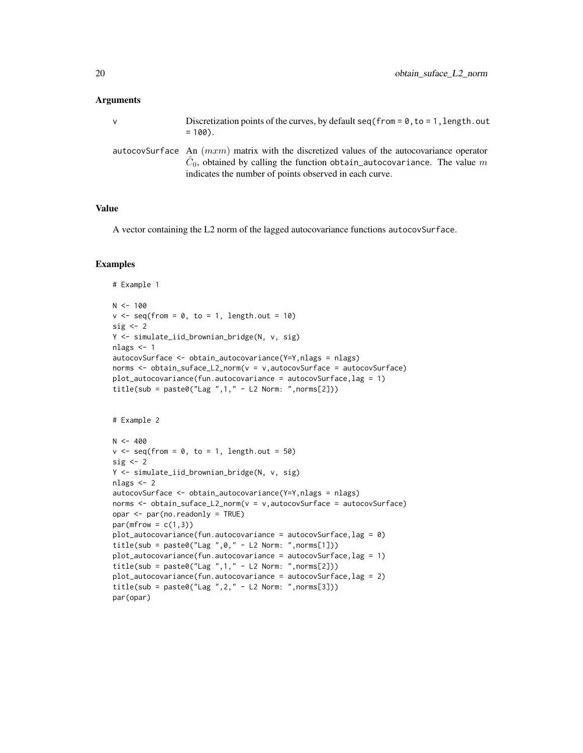#### Arguments

| v | Discretization points of the curves, by default $seq(from = 0, to = 1, length.out$<br>$= 100$ .                                                                                                                                      |
|---|--------------------------------------------------------------------------------------------------------------------------------------------------------------------------------------------------------------------------------------|
|   | autocovSurface An $(mxm)$ matrix with the discretized values of the autocovariance operator<br>$C_0$ , obtained by calling the function obtain_autocovariance. The value m<br>indicates the number of points observed in each curve. |

#### Value

A vector containing the L2 norm of the lagged autocovariance functions autocovSurface.

```
# Example 1
N < - 100v \leq - seq(from = 0, to = 1, length.out = 10)
sig \leftarrow 2Y <- simulate_iid_brownian_bridge(N, v, sig)
nlags <- 1
autocovSurface <- obtain_autocovariance(Y=Y,nlags = nlags)
norms <- obtain_suface_L2_norm(v = v,autocovSurface = autocovSurface)
plot_autocovariance(fun.autocovariance = autocovSurface, lag = 1)title(sub = paste0("Lag ",1," - L2 Norm: ",norms[2]))
# Example 2
N < -400v \leq -\text{seq}(\text{from} = \emptyset, \text{to} = 1, \text{length.out} = 50)sig \leftarrow 2Y <- simulate_iid_brownian_bridge(N, v, sig)
nlags <- 2
autocovSurface <- obtain_autocovariance(Y=Y,nlags = nlags)
norms <- obtain_suface_L2_norm(v = v,autocovSurface = autocovSurface)
opar <- par(no.readonly = TRUE)
par(mfrow = c(1,3))plot_autocovariance(fun.autocovariance = autocovSurface, lag = 0)title(sub = paste0("Lag ",0," - L2 Norm: ",norms[1]))
plot_autocovariance(fun.autocovariance = autocovSurface,lag = 1)
title(sub = paste0("Lag ", 1," - L2 Norm: ", norms[2]))
plot_autocovariance(fun.autocovariance = autocovSurface,lag = 2)
title(sub = paste0("Lag ",2," - L2 Norm: ",norms[3]))
par(opar)
```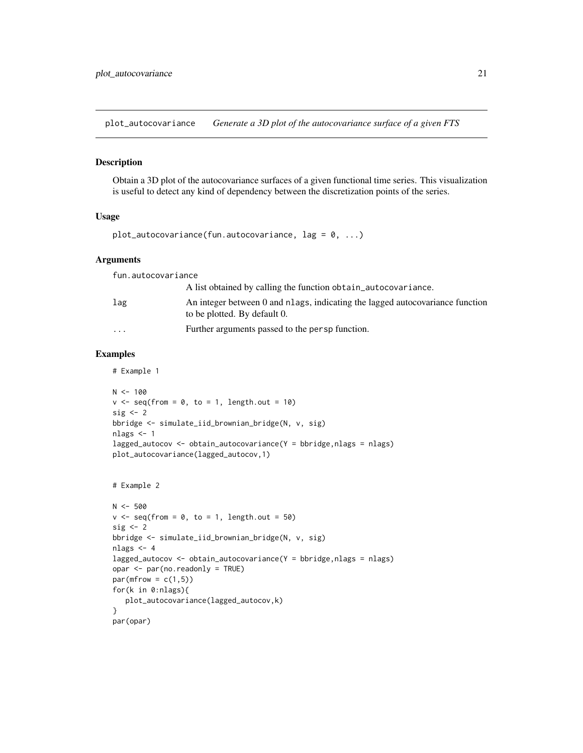<span id="page-20-0"></span>plot\_autocovariance *Generate a 3D plot of the autocovariance surface of a given FTS*

#### Description

Obtain a 3D plot of the autocovariance surfaces of a given functional time series. This visualization is useful to detect any kind of dependency between the discretization points of the series.

#### Usage

```
plot_autocovariance(fun.autocovariance, lag = 0, ...)
```
#### Arguments

fun.autocovariance A list obtained by calling the function obtain\_autocovariance. lag An integer between 0 and nlags, indicating the lagged autocovariance function to be plotted. By default 0. ... Further arguments passed to the persp function.

#### Examples

# Example 1

```
N < - 100v \leq -\text{seq}(\text{from} = \emptyset, \text{to} = 1, \text{length.out} = 10)sig \leftarrow 2bbridge <- simulate_iid_brownian_bridge(N, v, sig)
nlags <- 1
lagged_autocov <- obtain_autocovariance(Y = \text{bbridge}, \text{nlags} = \text{nlags})
plot_autocovariance(lagged_autocov,1)
```

```
# Example 2
```

```
N < -500v \leq -\text{seq}(\text{from} = 0, \text{to} = 1, \text{length.out} = 50)sig \leftarrow 2bbridge <- simulate_iid_brownian_bridge(N, v, sig)
nlags <- 4
lagged_autocov <- obtain_autocovariance(Y = bbridge,nlags = nlags)
opar <- par(no.readonly = TRUE)
par(mfrow = c(1,5))for(k in 0:nlags){
   plot_autocovariance(lagged_autocov,k)
}
par(opar)
```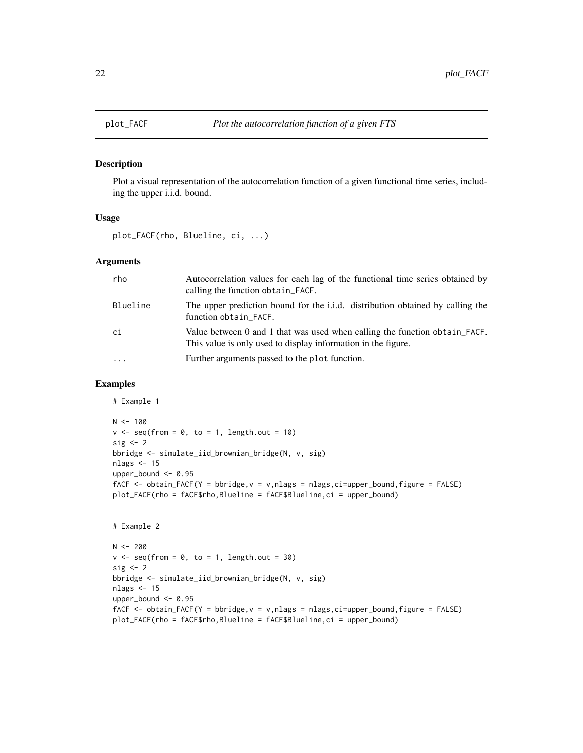#### Description

Plot a visual representation of the autocorrelation function of a given functional time series, including the upper i.i.d. bound.

#### Usage

plot\_FACF(rho, Blueline, ci, ...)

#### Arguments

| rho      | Autocorrelation values for each lag of the functional time series obtained by<br>calling the function obtain FACF.                          |
|----------|---------------------------------------------------------------------------------------------------------------------------------------------|
| Blueline | The upper prediction bound for the <i>i.i.d.</i> distribution obtained by calling the<br>function obtain_FACF.                              |
| ci       | Value between 0 and 1 that was used when calling the function obtain FACF.<br>This value is only used to display information in the figure. |
| $\cdot$  | Further arguments passed to the plot function.                                                                                              |

#### Examples

# Example 1

```
N < - 100v \leq -\text{seq}(\text{from} = 0, \text{to} = 1, \text{length.out} = 10)sig \leftarrow 2bbridge <- simulate_iid_brownian_bridge(N, v, sig)
nlags <- 15
upper_bound <- 0.95
fACF <- obtain_FACF(Y = bbridge, v = v, nlags = nlags, ci=upper_bound, figure = FALSE)
plot_FACF(rho = fACF$rho,Blueline = fACF$Blueline,ci = upper_bound)
```

```
# Example 2
```

```
N < -200v \leq -\text{seq}(\text{from} = 0, \text{to} = 1, \text{length.out} = 30)sig \leftarrow 2bbridge <- simulate_iid_brownian_bridge(N, v, sig)
nlags <- 15
upper_bound <- 0.95
fACF <- obtain_FACF(Y = bbridge, v = v, nlags = nlags, ci=upper_bound, figure = FALSE)
plot_FACF(rho = fACF$rho,Blueline = fACF$Blueline,ci = upper_bound)
```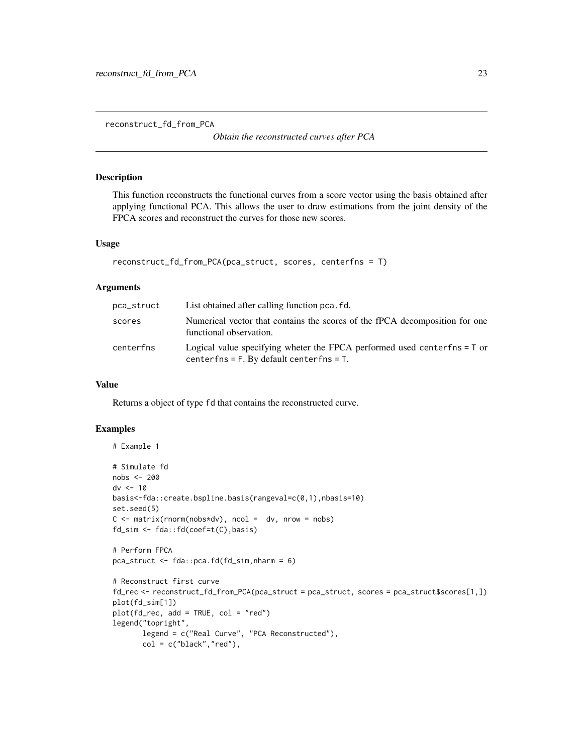<span id="page-22-0"></span>reconstruct\_fd\_from\_PCA

*Obtain the reconstructed curves after PCA*

#### Description

This function reconstructs the functional curves from a score vector using the basis obtained after applying functional PCA. This allows the user to draw estimations from the joint density of the FPCA scores and reconstruct the curves for those new scores.

#### Usage

```
reconstruct_fd_from_PCA(pca_struct, scores, centerfns = T)
```
#### Arguments

| pca_struct | List obtained after calling function pca. fd.                                                                              |
|------------|----------------------------------------------------------------------------------------------------------------------------|
| scores     | Numerical vector that contains the scores of the fPCA decomposition for one<br>functional observation.                     |
| centerfns  | Logical value specifying wheter the FPCA performed used centerfns = T or<br>centerfns = $F$ . By default centerfns = $T$ . |

#### Value

Returns a object of type fd that contains the reconstructed curve.

```
# Example 1
# Simulate fd
nobs <- 200
dv <- 10
basis<-fda::create.bspline.basis(rangeval=c(0,1),nbasis=10)
set.seed(5)
C \le - matrix(rnorm(nobs*dv), ncol = dv, nrow = nobs)
fd_sim <- fda::fd(coef=t(C),basis)
# Perform FPCA
pca_struct <- fda::pca.fd(fd_sim,nharm = 6)
# Reconstruct first curve
fd_rec <- reconstruct_fd_from_PCA(pca_struct = pca_struct, scores = pca_struct$scores[1,])
plot(fd_sim[1])
plot(fd_rec, add = TRUE, col = "red")
legend("topright",
       legend = c("Real Curve", "PCA Reconstructed"),
       col = c("black", "red"),
```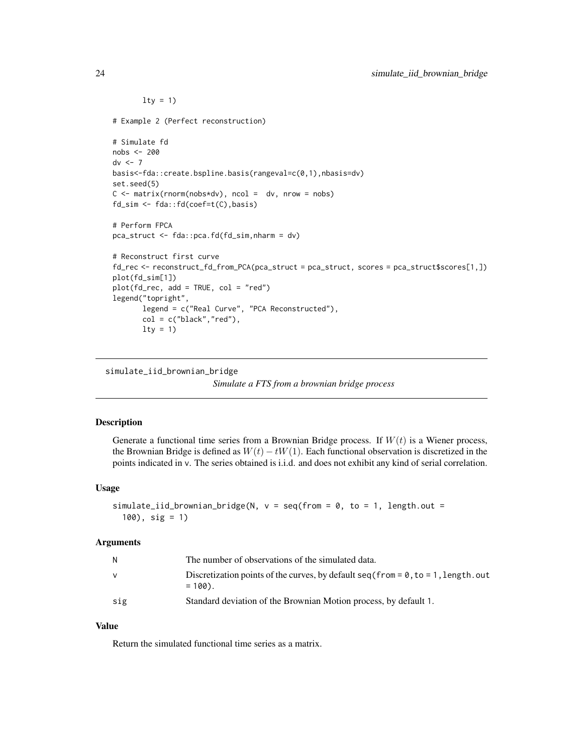```
lty = 1)# Example 2 (Perfect reconstruction)
# Simulate fd
nobs <- 200
dv \le -7basis<-fda::create.bspline.basis(rangeval=c(0,1),nbasis=dv)
set.seed(5)
C \leq - matrix(rnorm(nobs*dv), ncol = dv, nrow = nobs)
fd_sim <- fda::fd(coef=t(C),basis)
# Perform FPCA
pca_struct <- fda::pca.fd(fd_sim,nharm = dv)
# Reconstruct first curve
fd_rec <- reconstruct_fd_from_PCA(pca_struct = pca_struct, scores = pca_struct$scores[1,])
plot(fd_sim[1])
plot(fd_rec, add = TRUE, col = "red")
legend("topright",
       legend = c("Real Curve", "PCA Reconstructed"),
       col = c("black", "red"),lty = 1)
```

```
simulate_iid_brownian_bridge
```

```
Simulate a FTS from a brownian bridge process
```
#### Description

Generate a functional time series from a Brownian Bridge process. If  $W(t)$  is a Wiener process, the Brownian Bridge is defined as  $W(t) - tW(1)$ . Each functional observation is discretized in the points indicated in v. The series obtained is i.i.d. and does not exhibit any kind of serial correlation.

#### Usage

```
simulate_iid_brownian_bridge(N, v = seq(from = 0, to = 1, length.out =100), sig = 1)
```
#### Arguments

| N.       | The number of observations of the simulated data.                                               |
|----------|-------------------------------------------------------------------------------------------------|
| <b>V</b> | Discretization points of the curves, by default $seq(from = 0, to = 1, length.out$<br>$= 100$ . |
| sig      | Standard deviation of the Brownian Motion process, by default 1.                                |

#### Value

Return the simulated functional time series as a matrix.

<span id="page-23-0"></span>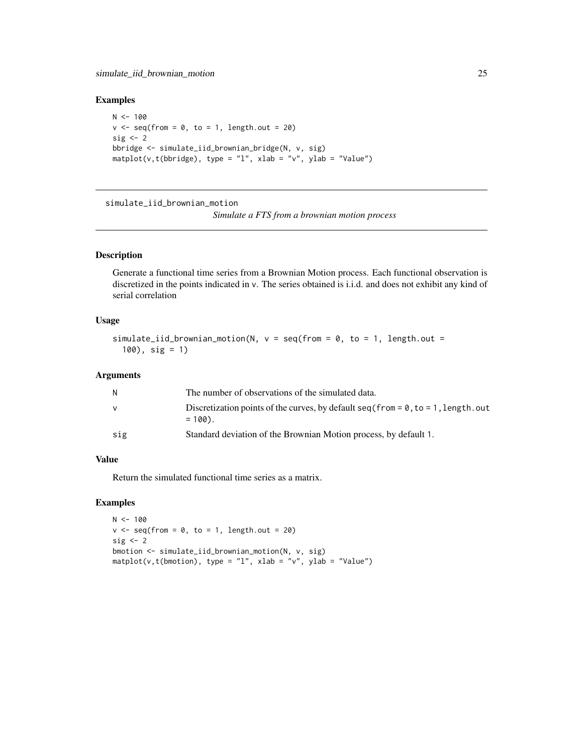#### <span id="page-24-0"></span>Examples

```
N < - 100v \leq - seq(from = 0, to = 1, length.out = 20)
sig \leftarrow 2bbridge <- simulate_iid_brownian_bridge(N, v, sig)
matplot(v,t(bbridge), type = "l", xlab = "v", ylab = "Value")
```
simulate\_iid\_brownian\_motion

*Simulate a FTS from a brownian motion process*

#### Description

Generate a functional time series from a Brownian Motion process. Each functional observation is discretized in the points indicated in v. The series obtained is i.i.d. and does not exhibit any kind of serial correlation

#### Usage

```
simulate_iid_brownian_motion(N, v = \text{seq}(\text{from} = 0, \text{to} = 1, \text{length.out} =100), sig = 1)
```
#### Arguments

| N   | The number of observations of the simulated data.                                               |
|-----|-------------------------------------------------------------------------------------------------|
| v   | Discretization points of the curves, by default $seq(from = 0, to = 1, length.out$<br>$= 100$ . |
| sig | Standard deviation of the Brownian Motion process, by default 1.                                |

#### Value

Return the simulated functional time series as a matrix.

```
N < - 100v \leq -\text{seq}(\text{from} = \emptyset, \text{to} = 1, \text{length.out} = 2\emptyset)sig \leftarrow 2bmotion <- simulate_iid_brownian_motion(N, v, sig)
matplot(v,t(bmotion), type = "l", xlab = "v", ylab = "Value")
```